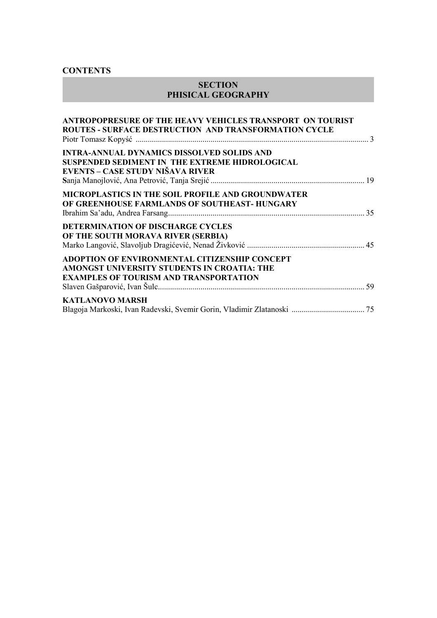### **CONTENTS**

### **SECTION PHISICAL GEOGRAPHY**

| ANTROPOPRESURE OF THE HEAVY VEHICLES TRANSPORT ON TOURIST<br><b>ROUTES - SURFACE DESTRUCTION AND TRANSFORMATION CYCLE</b>                     |  |
|-----------------------------------------------------------------------------------------------------------------------------------------------|--|
| INTRA-ANNUAL DYNAMICS DISSOLVED SOLIDS AND<br>SUSPENDED SEDIMENT IN THE EXTREME HIDROLOGICAL<br>EVENTS – CASE STUDY NIŠAVA RIVER              |  |
| MICROPLASTICS IN THE SOIL PROFILE AND GROUNDWATER<br>OF GREENHOUSE FARMLANDS OF SOUTHEAST- HUNGARY                                            |  |
| DETERMINATION OF DISCHARGE CYCLES<br>OF THE SOUTH MORAVA RIVER (SERBIA)                                                                       |  |
| ADOPTION OF ENVIRONMENTAL CITIZENSHIP CONCEPT<br>AMONGST UNIVERSITY STUDENTS IN CROATIA: THE<br><b>EXAMPLES OF TOURISM AND TRANSPORTATION</b> |  |
| <b>KATLANOVO MARSH</b><br>Blagoja Markoski, Ivan Radevski, Svemir Gorin, Vladimir Zlatanoski  75                                              |  |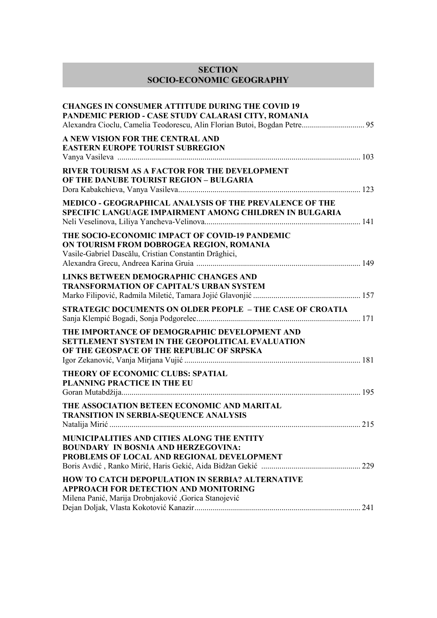# **SECTION SOCIO-ECONOMIC GEOGRAPHY**

| <b>CHANGES IN CONSUMER ATTITUDE DURING THE COVID 19</b><br>PANDEMIC PERIOD - CASE STUDY CALARASI CITY, ROMANIA<br>Alexandra Cioclu, Camelia Teodorescu, Alin Florian Butoi, Bogdan Petre 95 |     |
|---------------------------------------------------------------------------------------------------------------------------------------------------------------------------------------------|-----|
| A NEW VISION FOR THE CENTRAL AND<br><b>EASTERN EUROPE TOURIST SUBREGION</b>                                                                                                                 |     |
| RIVER TOURISM AS A FACTOR FOR THE DEVELOPMENT<br>OF THE DANUBE TOURIST REGION - BULGARIA                                                                                                    |     |
| MEDICO - GEOGRAPHICAL ANALYSIS OF THE PREVALENCE OF THE<br>SPECIFIC LANGUAGE IMPAIRMENT AMONG CHILDREN IN BULGARIA                                                                          |     |
| THE SOCIO-ECONOMIC IMPACT OF COVID-19 PANDEMIC<br>ON TOURISM FROM DOBROGEA REGION, ROMANIA<br>Vasile-Gabriel Dascălu, Cristian Constantin Drăghici,                                         |     |
| LINKS BETWEEN DEMOGRAPHIC CHANGES AND<br><b>TRANSFORMATION OF CAPITAL'S URBAN SYSTEM</b>                                                                                                    |     |
| <b>STRATEGIC DOCUMENTS ON OLDER PEOPLE - THE CASE OF CROATIA</b>                                                                                                                            |     |
| THE IMPORTANCE OF DEMOGRAPHIC DEVELOPMENT AND<br>SETTLEMENT SYSTEM IN THE GEOPOLITICAL EVALUATION<br>OF THE GEOSPACE OF THE REPUBLIC OF SRPSKA                                              |     |
| THEORY OF ECONOMIC CLUBS: SPATIAL<br><b>PLANNING PRACTICE IN THE EU</b>                                                                                                                     |     |
| THE ASSOCIATION BETEEN ECONOMIC AND MARITAL<br><b>TRANSITION IN SERBIA-SEQUENCE ANALYSIS</b>                                                                                                | 215 |
| MUNICIPALITIES AND CITIES ALONG THE ENTITY<br><b>BOUNDARY IN BOSNIA AND HERZEGOVINA:</b><br>PROBLEMS OF LOCAL AND REGIONAL DEVELOPMENT                                                      |     |
| HOW TO CATCH DEPOPULATION IN SERBIA? ALTERNATIVE<br><b>APPROACH FOR DETECTION AND MONITORING</b><br>Milena Panić, Marija Drobnjaković , Gorica Stanojević                                   |     |
|                                                                                                                                                                                             |     |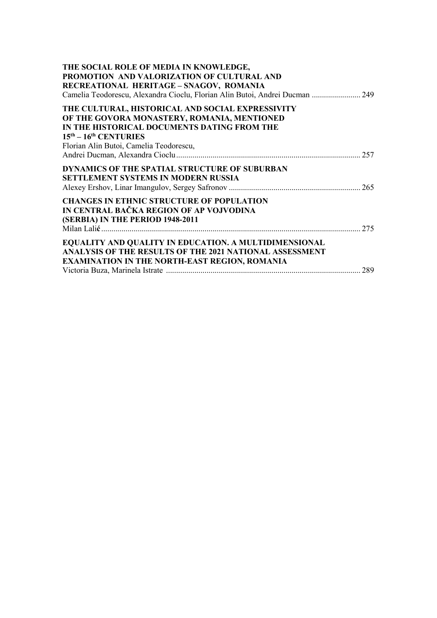| THE SOCIAL ROLE OF MEDIA IN KNOWLEDGE,<br>PROMOTION AND VALORIZATION OF CULTURAL AND<br>RECREATIONAL HERITAGE-SNAGOV, ROMANIA<br>Camelia Teodorescu, Alexandra Cioclu, Florian Alin Butoi, Andrei Ducman  249        |  |
|----------------------------------------------------------------------------------------------------------------------------------------------------------------------------------------------------------------------|--|
| THE CULTURAL, HISTORICAL AND SOCIAL EXPRESSIVITY<br>OF THE GOVORA MONASTERY, ROMANIA, MENTIONED<br>IN THE HISTORICAL DOCUMENTS DATING FROM THE<br>$15th - 16th$ CENTURIES<br>Florian Alin Butoi, Camelia Teodorescu, |  |
| DYNAMICS OF THE SPATIAL STRUCTURE OF SUBURBAN<br><b>SETTLEMENT SYSTEMS IN MODERN RUSSIA</b>                                                                                                                          |  |
| <b>CHANGES IN ETHNIC STRUCTURE OF POPULATION</b><br>IN CENTRAL BAČKA REGION OF AP VOJVODINA<br>(SERBIA) IN THE PERIOD 1948-2011                                                                                      |  |
| EQUALITY AND QUALITY IN EDUCATION. A MULTIDIMENSIONAL<br>ANALYSIS OF THE RESULTS OF THE 2021 NATIONAL ASSESSMENT<br>EXAMINATION IN THE NORTH-EAST REGION, ROMANIA                                                    |  |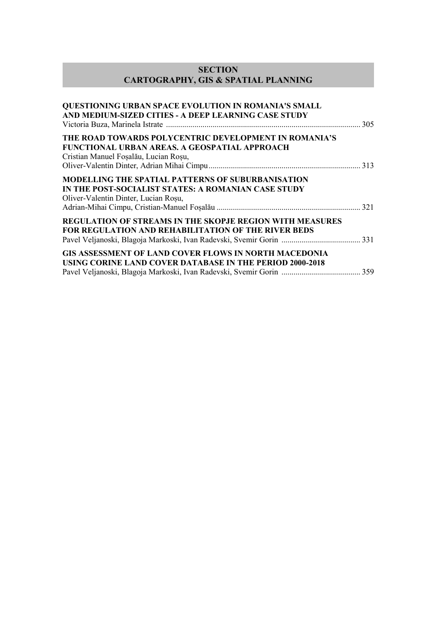## **SECTION CARTOGRAPHY, GIS & SPATIAL PLANNING**

| <b>QUESTIONING URBAN SPACE EVOLUTION IN ROMANIA'S SMALL</b><br>AND MEDIUM-SIZED CITIES - A DEEP LEARNING CASE STUDY                                     |  |
|---------------------------------------------------------------------------------------------------------------------------------------------------------|--|
| THE ROAD TOWARDS POLYCENTRIC DEVELOPMENT IN ROMANIA'S<br>FUNCTIONAL URBAN AREAS. A GEOSPATIAL APPROACH<br>Cristian Manuel Foșalău, Lucian Roșu,         |  |
| <b>MODELLING THE SPATIAL PATTERNS OF SUBURBANISATION</b><br>IN THE POST-SOCIALIST STATES: A ROMANIAN CASE STUDY<br>Oliver-Valentin Dinter, Lucian Roșu, |  |
| <b>REGULATION OF STREAMS IN THE SKOPJE REGION WITH MEASURES</b><br><b>FOR REGULATION AND REHABILITATION OF THE RIVER BEDS</b>                           |  |
| <b>GIS ASSESSMENT OF LAND COVER FLOWS IN NORTH MACEDONIA</b><br>USING CORINE LAND COVER DATABASE IN THE PERIOD 2000-2018                                |  |